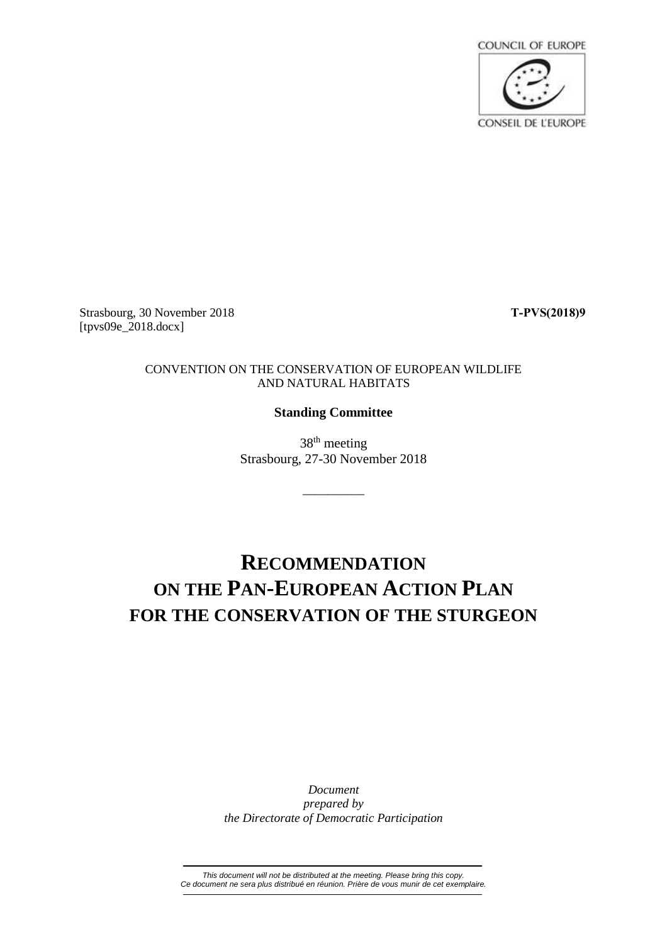

Strasbourg, 30 November 2018 **T-PVS(2018)9** [tpvs09e\_2018.docx]

### CONVENTION ON THE CONSERVATION OF EUROPEAN WILDLIFE AND NATURAL HABITATS

### **Standing Committee**

38<sup>th</sup> meeting Strasbourg, 27-30 November 2018

\_\_\_\_\_\_\_\_\_\_

# **RECOMMENDATION ON THE PAN-EUROPEAN ACTION PLAN FOR THE CONSERVATION OF THE STURGEON**

*Document prepared by the Directorate of Democratic Participation*

*This document will not be distributed at the meeting. Please bring this copy. Ce document ne sera plus distribué en réunion. Prière de vous munir de cet exemplaire.*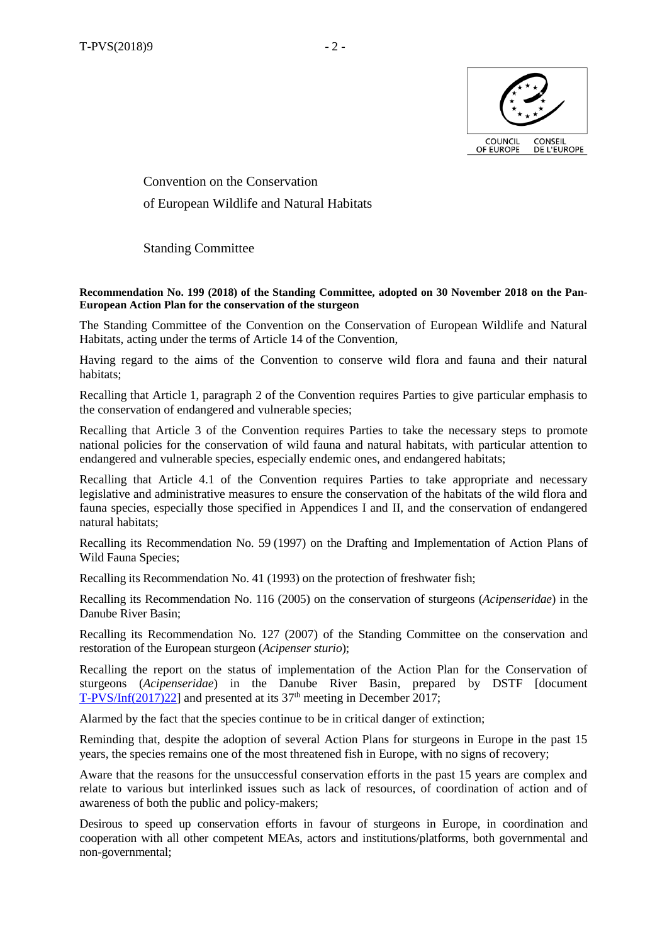

Convention on the Conservation of European Wildlife and Natural Habitats

Standing Committee

#### **Recommendation No. 199 (2018) of the Standing Committee, adopted on 30 November 2018 on the Pan-European Action Plan for the conservation of the sturgeon**

The Standing Committee of the Convention on the Conservation of European Wildlife and Natural Habitats, acting under the terms of Article 14 of the Convention,

Having regard to the aims of the Convention to conserve wild flora and fauna and their natural habitats;

Recalling that Article 1, paragraph 2 of the Convention requires Parties to give particular emphasis to the conservation of endangered and vulnerable species;

Recalling that Article 3 of the Convention requires Parties to take the necessary steps to promote national policies for the conservation of wild fauna and natural habitats, with particular attention to endangered and vulnerable species, especially endemic ones, and endangered habitats;

Recalling that Article 4.1 of the Convention requires Parties to take appropriate and necessary legislative and administrative measures to ensure the conservation of the habitats of the wild flora and fauna species, especially those specified in Appendices I and II, and the conservation of endangered natural habitats;

Recalling its Recommendation No. 59 (1997) on the Drafting and Implementation of Action Plans of Wild Fauna Species;

Recalling its Recommendation No. 41 (1993) on the protection of freshwater fish;

Recalling its Recommendation No. 116 (2005) on the conservation of sturgeons (*Acipenseridae*) in the Danube River Basin;

Recalling its Recommendation No. 127 (2007) of the Standing Committee on the conservation and restoration of the European sturgeon (*Acipenser sturio*);

Recalling the report on the status of implementation of the Action Plan for the Conservation of sturgeons (*Acipenseridae*) in the Danube River Basin, prepared by DSTF [document [T-PVS/Inf\(2017\)22\]](https://search.coe.int/bern-convention/Pages/result_details.aspx?ObjectId=0900001680764661) and presented at its  $37<sup>th</sup>$  meeting in December 2017;

Alarmed by the fact that the species continue to be in critical danger of extinction;

Reminding that, despite the adoption of several Action Plans for sturgeons in Europe in the past 15 years, the species remains one of the most threatened fish in Europe, with no signs of recovery;

Aware that the reasons for the unsuccessful conservation efforts in the past 15 years are complex and relate to various but interlinked issues such as lack of resources, of coordination of action and of awareness of both the public and policy-makers;

Desirous to speed up conservation efforts in favour of sturgeons in Europe, in coordination and cooperation with all other competent MEAs, actors and institutions/platforms, both governmental and non-governmental;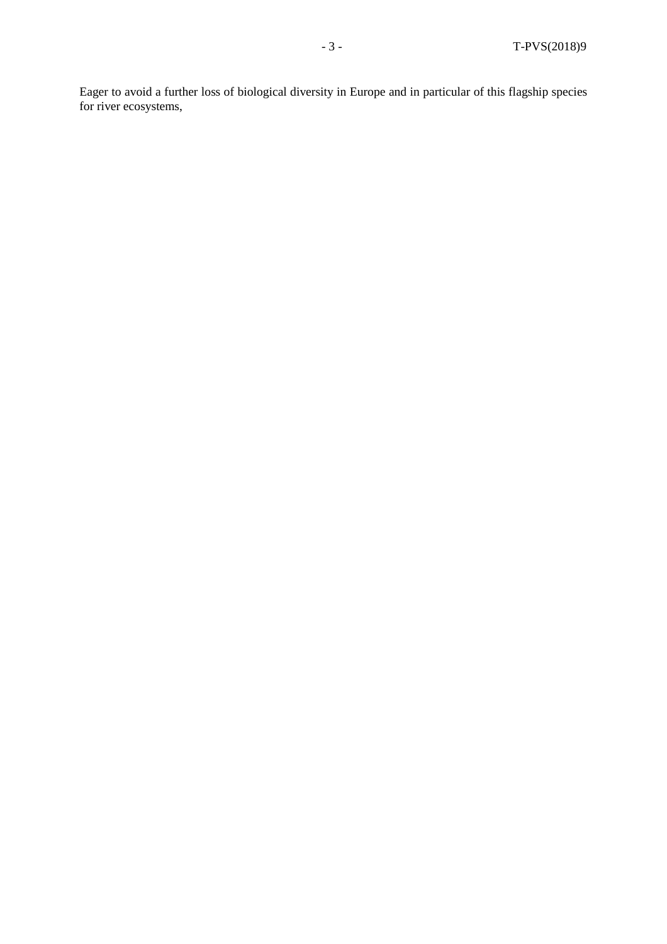Eager to avoid a further loss of biological diversity in Europe and in particular of this flagship species for river ecosystems,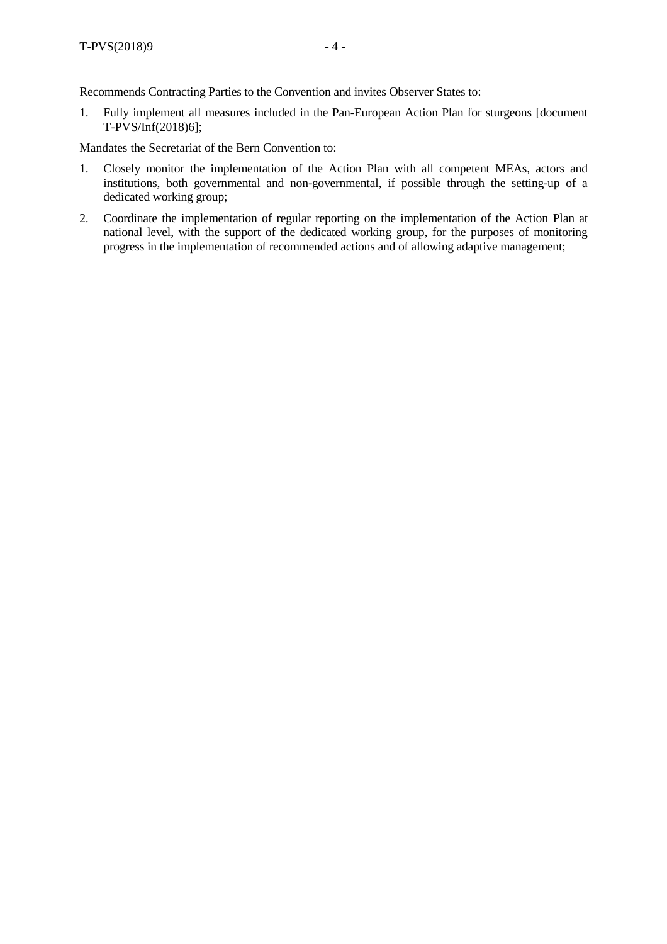Recommends Contracting Parties to the Convention and invites Observer States to:

1. Fully implement all measures included in the Pan-European Action Plan for sturgeons [document T-PVS/Inf(2018)6];

Mandates the Secretariat of the Bern Convention to:

- 1. Closely monitor the implementation of the Action Plan with all competent MEAs, actors and institutions, both governmental and non-governmental, if possible through the setting-up of a dedicated working group;
- 2. Coordinate the implementation of regular reporting on the implementation of the Action Plan at national level, with the support of the dedicated working group, for the purposes of monitoring progress in the implementation of recommended actions and of allowing adaptive management;